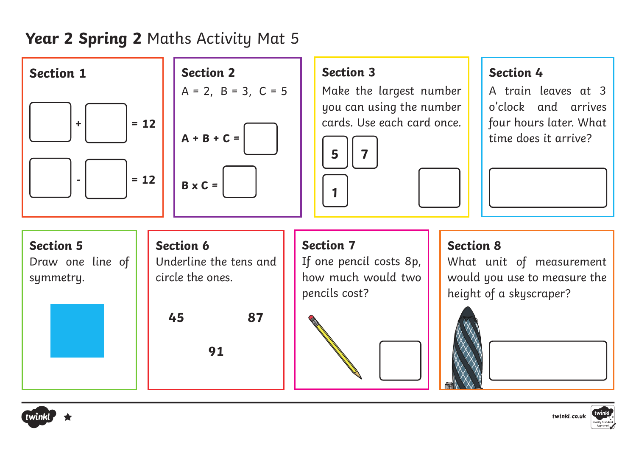### **Year 2 Spring 2** Maths Activity Mat 5





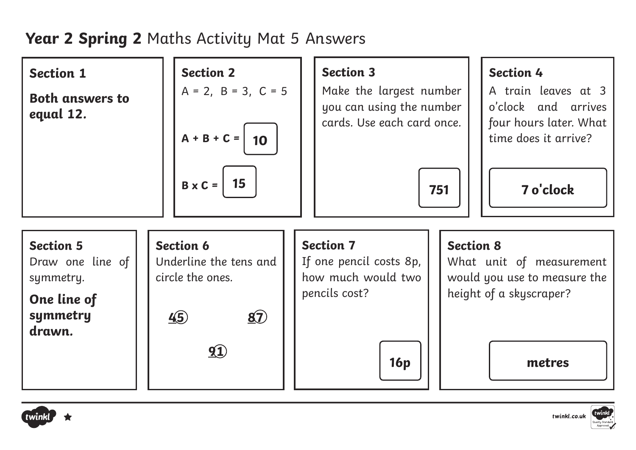## **Year 2 Spring 2** Maths Activity Mat 5 Answers

| <b>Section 1</b><br><b>Both answers to</b><br>equal 12.                      | <b>Section 2</b><br>$A = 2$ , $B = 3$ , $C = 5$<br>$A + B + C =$<br>10               | <b>Section 3</b><br>Make the largest number<br>you can using the number<br>cards. Use each card once. | <b>Section 4</b><br>A train leaves at 3<br>o'clock and arrives<br>four hours later. What<br>time does it arrive? |
|------------------------------------------------------------------------------|--------------------------------------------------------------------------------------|-------------------------------------------------------------------------------------------------------|------------------------------------------------------------------------------------------------------------------|
|                                                                              | 15<br>$B \times C =$                                                                 | 751                                                                                                   | 7 o'clock                                                                                                        |
| <b>Section 5</b><br>Draw one line of<br>symmetry.<br>One line of<br>symmetry | <b>Section 6</b><br>Underline the tens and<br>circle the ones.<br>45<br>$\mathbf{5}$ | <b>Section 7</b><br>If one pencil costs 8p,<br>how much would two<br>pencils cost?                    | <b>Section 8</b><br>What unit of measurement<br>would you use to measure the<br>height of a skyscraper?          |
| drawn.                                                                       | $\mathbf{Q}$                                                                         | 16p                                                                                                   | metres                                                                                                           |



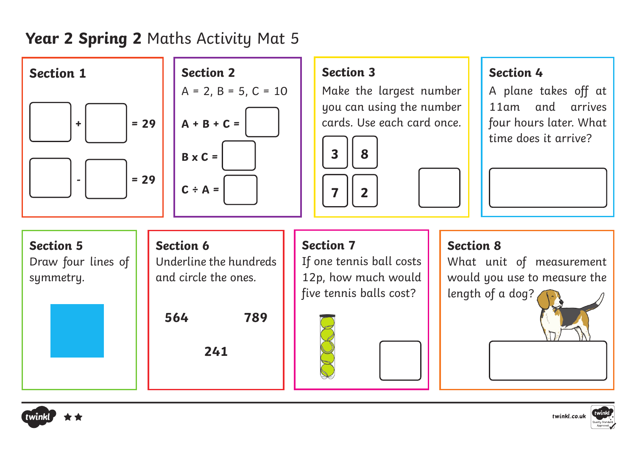## **Year 2 Spring 2** Maths Activity Mat 5





#### **Section 3**

Make the largest number you can using the number cards. Use each card once.



#### **Section 4**

A plane takes off at 11am and arrives four hours later. What time does it arrive?







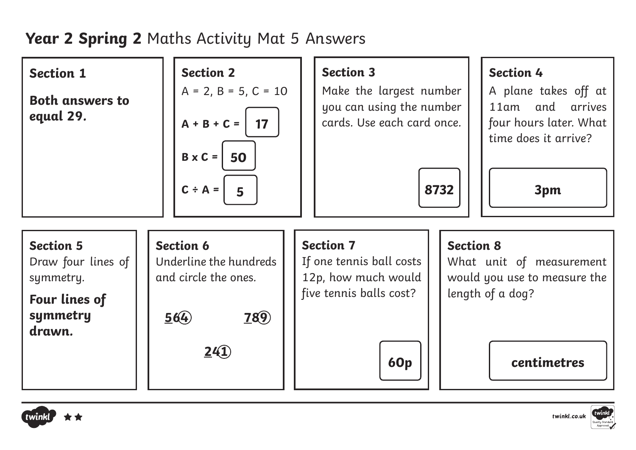# **Year 2 Spring 2** Maths Activity Mat 5 Answers

| <b>Section 1</b><br><b>Both answers to</b><br>equal 29.                                    | <b>Section 2</b><br>$A = 2$ , $B = 5$ , $C = 10$<br>$A + B + C =$<br>17<br>$B \times C =$<br>50<br>$C \div A =$<br>5 | <b>Section 3</b><br><b>Section 4</b><br>Make the largest number<br>A plane takes off at<br>you can using the number<br>11am and arrives<br>cards. Use each card once.<br>four hours later. What<br>time does it arrive?<br>8732<br>3pm |
|--------------------------------------------------------------------------------------------|----------------------------------------------------------------------------------------------------------------------|----------------------------------------------------------------------------------------------------------------------------------------------------------------------------------------------------------------------------------------|
| <b>Section 5</b><br>Draw four lines of<br>symmetry.<br>Four lines of<br>symmetry<br>drawn. | <b>Section 6</b><br>Underline the hundreds<br>and circle the ones.<br>564<br><b>789</b>                              | <b>Section 7</b><br><b>Section 8</b><br>If one tennis ball costs<br>What unit of measurement<br>12p, how much would<br>would you use to measure the<br>five tennis balls cost?<br>length of a dog?                                     |
|                                                                                            | 2(1)                                                                                                                 | centimetres<br><b>60p</b>                                                                                                                                                                                                              |



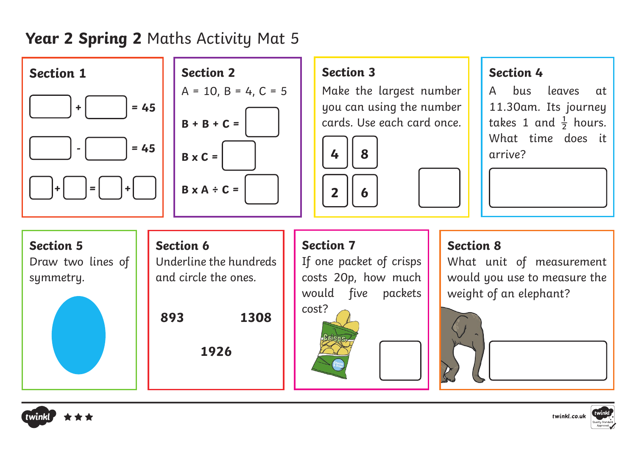## **Year 2 Spring 2** Maths Activity Mat 5





### **Section 3**

Make the largest number you can using the number cards. Use each card once.



#### **Section 4**

hus leaves at 11.30am. Its journey takes 1 and  $\frac{1}{2}$  hours. What time does it arrive?

twinkl.co.uk